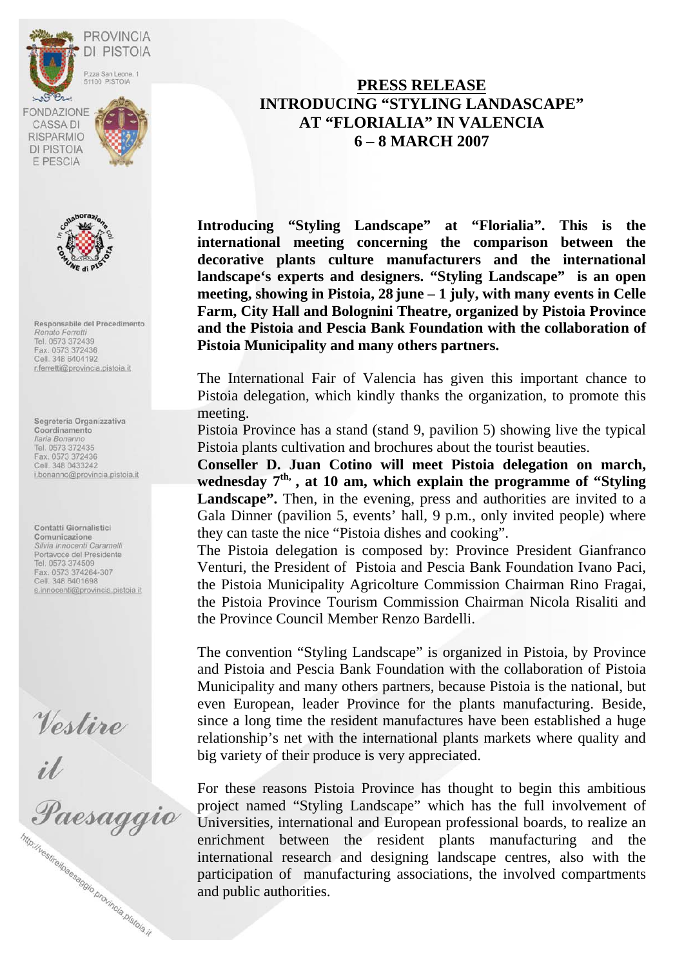



Responsabile del Procedimento Renato Ferretti Tel. 0573 372439 Fax. 0573 372436 Cell. 348 6404192 r.ferretti@provincia.pistoia.it

Segreteria Organizzativa Coordinamento Ilaria Bonanno Tel. 0573 372435 Fax. 0573 372436 Cell. 348 0433242 i.bonanno@provincia.pistoia.it

Contatti Giornalistici Comunicazione<br>Silvia Innocenti Caramelli Portavoce del Presidente Tel. 0573 374509 Fax. 0573 374264-307<br>Cell. 348 6401698 s.innocenti@provincia.pistoia.it

Vestire<br>il<br>Paesaggio http://vestirelpaesaggio.provincia.pistoja.jt

## **PRESS RELEASE INTRODUCING "STYLING LANDASCAPE" AT "FLORIALIA" IN VALENCIA 6 – 8 MARCH 2007**

**Introducing "Styling Landscape" at "Florialia". This is the international meeting concerning the comparison between the decorative plants culture manufacturers and the international landscape's experts and designers. "Styling Landscape" is an open meeting, showing in Pistoia, 28 june – 1 july, with many events in Celle Farm, City Hall and Bolognini Theatre, organized by Pistoia Province and the Pistoia and Pescia Bank Foundation with the collaboration of Pistoia Municipality and many others partners.** 

The International Fair of Valencia has given this important chance to Pistoia delegation, which kindly thanks the organization, to promote this meeting.

Pistoia Province has a stand (stand 9, pavilion 5) showing live the typical Pistoia plants cultivation and brochures about the tourist beauties.

**Conseller D. Juan Cotino will meet Pistoia delegation on march,**  wednesday 7<sup>th,</sup> , at 10 am, which explain the programme of "Styling" Landscape". Then, in the evening, press and authorities are invited to a Gala Dinner (pavilion 5, events' hall, 9 p.m., only invited people) where they can taste the nice "Pistoia dishes and cooking".

The Pistoia delegation is composed by: Province President Gianfranco Venturi, the President of Pistoia and Pescia Bank Foundation Ivano Paci, the Pistoia Municipality Agricolture Commission Chairman Rino Fragai, the Pistoia Province Tourism Commission Chairman Nicola Risaliti and the Province Council Member Renzo Bardelli.

The convention "Styling Landscape" is organized in Pistoia, by Province and Pistoia and Pescia Bank Foundation with the collaboration of Pistoia Municipality and many others partners, because Pistoia is the national, but even European, leader Province for the plants manufacturing. Beside, since a long time the resident manufactures have been established a huge relationship's net with the international plants markets where quality and big variety of their produce is very appreciated.

For these reasons Pistoia Province has thought to begin this ambitious project named "Styling Landscape" which has the full involvement of Universities, international and European professional boards, to realize an enrichment between the resident plants manufacturing and the international research and designing landscape centres, also with the participation of manufacturing associations, the involved compartments and public authorities.